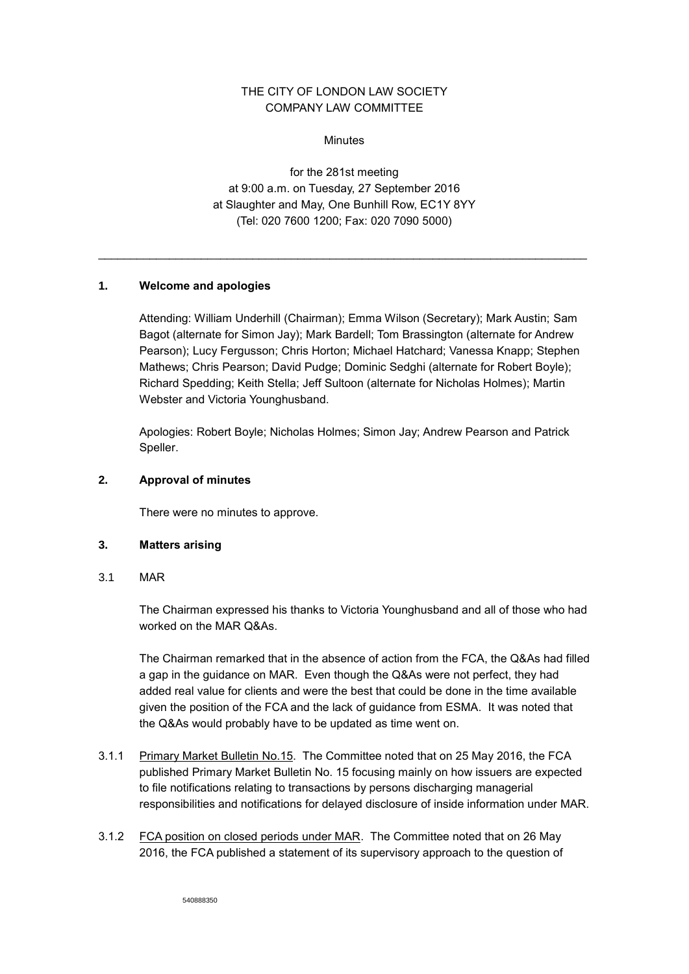# THE CITY OF LONDON LAW SOCIETY COMPANY LAW COMMITTEE

**Minutes** 

for the 281st meeting at 9:00 a.m. on Tuesday, 27 September 2016 at Slaughter and May, One Bunhill Row, EC1Y 8YY (Tel: 020 7600 1200; Fax: 020 7090 5000)

\_\_\_\_\_\_\_\_\_\_\_\_\_\_\_\_\_\_\_\_\_\_\_\_\_\_\_\_\_\_\_\_\_\_\_\_\_\_\_\_\_\_\_\_\_\_\_\_\_\_\_\_\_\_\_\_\_\_\_\_\_\_\_\_\_\_\_\_\_\_\_\_\_\_\_\_

# **1. Welcome and apologies**

Attending: William Underhill (Chairman); Emma Wilson (Secretary); Mark Austin; Sam Bagot (alternate for Simon Jay); Mark Bardell; Tom Brassington (alternate for Andrew Pearson); Lucy Fergusson; Chris Horton; Michael Hatchard; Vanessa Knapp; Stephen Mathews; Chris Pearson; David Pudge; Dominic Sedghi (alternate for Robert Boyle); Richard Spedding; Keith Stella; Jeff Sultoon (alternate for Nicholas Holmes); Martin Webster and Victoria Younghusband.

Apologies: Robert Boyle; Nicholas Holmes; Simon Jay; Andrew Pearson and Patrick Speller.

# **2. Approval of minutes**

There were no minutes to approve.

# **3. Matters arising**

3.1 MAR

The Chairman expressed his thanks to Victoria Younghusband and all of those who had worked on the MAR Q&As.

The Chairman remarked that in the absence of action from the FCA, the Q&As had filled a gap in the guidance on MAR. Even though the Q&As were not perfect, they had added real value for clients and were the best that could be done in the time available given the position of the FCA and the lack of guidance from ESMA. It was noted that the Q&As would probably have to be updated as time went on.

- 3.1.1 Primary Market Bulletin No.15. The Committee noted that on 25 May 2016, the FCA published Primary Market Bulletin No. 15 focusing mainly on how issuers are expected to file notifications relating to transactions by persons discharging managerial responsibilities and notifications for delayed disclosure of inside information under MAR.
- 3.1.2 FCA position on closed periods under MAR. The Committee noted that on 26 May 2016, the FCA published a statement of its supervisory approach to the question of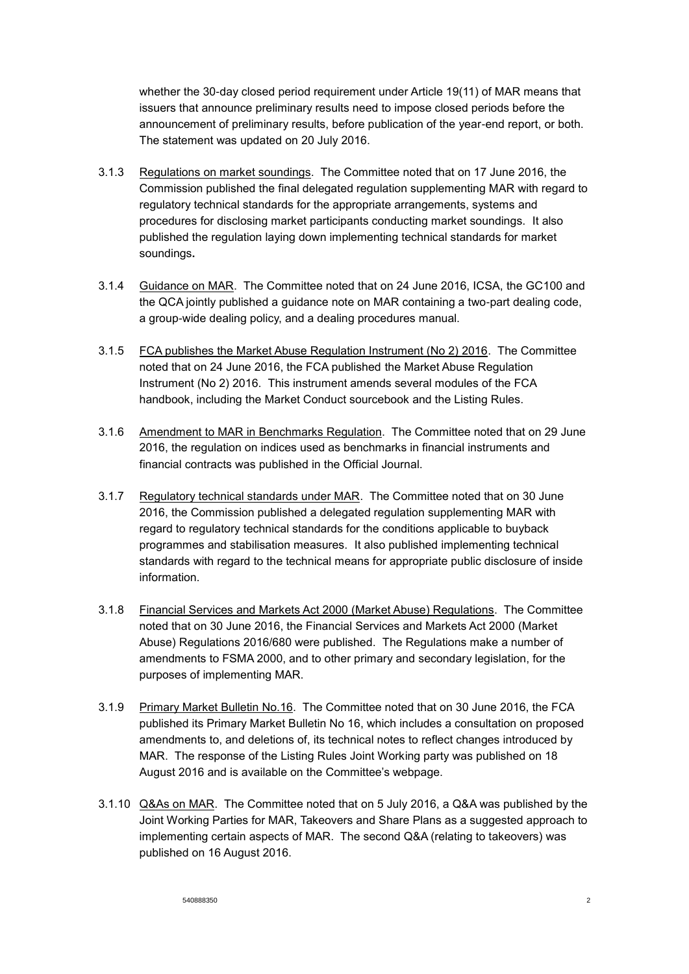whether the 30-day closed period requirement under Article 19(11) of MAR means that issuers that announce preliminary results need to impose closed periods before the announcement of preliminary results, before publication of the year-end report, or both. The statement was updated on 20 July 2016.

- 3.1.3 Regulations on market soundings. The Committee noted that on 17 June 2016, the Commission published the final delegated regulation supplementing MAR with regard to regulatory technical standards for the appropriate arrangements, systems and procedures for disclosing market participants conducting market soundings. It also published the regulation laying down implementing technical standards for market soundings**.**
- 3.1.4 Guidance on MAR. The Committee noted that on 24 June 2016, ICSA, the GC100 and the QCA jointly published a guidance note on MAR containing a two-part dealing code, a group-wide dealing policy, and a dealing procedures manual.
- 3.1.5 FCA publishes the Market Abuse Regulation Instrument (No 2) 2016. The Committee noted that on 24 June 2016, the FCA published the Market Abuse Regulation Instrument (No 2) 2016. This instrument amends several modules of the FCA handbook, including the Market Conduct sourcebook and the Listing Rules.
- 3.1.6 Amendment to MAR in Benchmarks Regulation. The Committee noted that on 29 June 2016, the regulation on indices used as benchmarks in financial instruments and financial contracts was published in the Official Journal.
- 3.1.7 Regulatory technical standards under MAR. The Committee noted that on 30 June 2016, the Commission published a delegated regulation supplementing MAR with regard to regulatory technical standards for the conditions applicable to buyback programmes and stabilisation measures. It also published implementing technical standards with regard to the technical means for appropriate public disclosure of inside information.
- 3.1.8 Financial Services and Markets Act 2000 (Market Abuse) Regulations. The Committee noted that on 30 June 2016, the Financial Services and Markets Act 2000 (Market Abuse) Regulations 2016/680 were published. The Regulations make a number of amendments to FSMA 2000, and to other primary and secondary legislation, for the purposes of implementing MAR.
- 3.1.9 Primary Market Bulletin No.16. The Committee noted that on 30 June 2016, the FCA published its Primary Market Bulletin No 16, which includes a consultation on proposed amendments to, and deletions of, its technical notes to reflect changes introduced by MAR. The response of the Listing Rules Joint Working party was published on 18 August 2016 and is available on the Committee's webpage.
- 3.1.10 Q&As on MAR. The Committee noted that on 5 July 2016, a Q&A was published by the Joint Working Parties for MAR, Takeovers and Share Plans as a suggested approach to implementing certain aspects of MAR. The second Q&A (relating to takeovers) was published on 16 August 2016.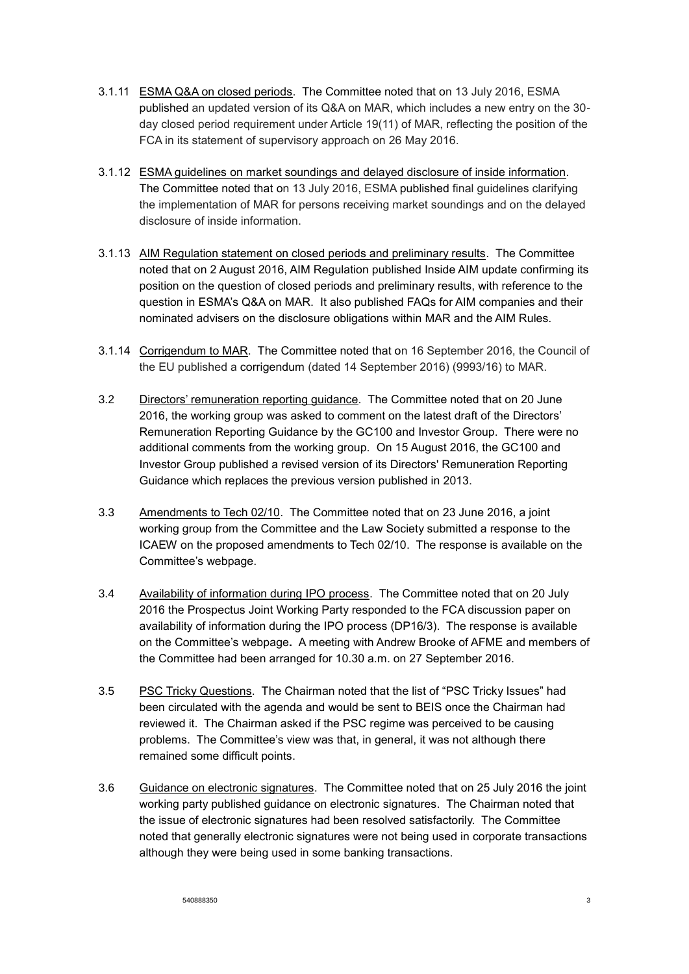- 3.1.11 ESMA Q&A on closed periods. The Committee noted that on 13 July 2016, ESMA published an updated version of its Q&A on MAR, which includes a new entry on the 30 day closed period requirement under Article 19(11) of MAR, reflecting the position of the FCA in its statement of supervisory approach on 26 May 2016.
- 3.1.12 ESMA guidelines on market soundings and delayed disclosure of inside information. The Committee noted that on 13 July 2016, ESMA published final guidelines clarifying the implementation of MAR for persons receiving market soundings and on the delayed disclosure of inside information.
- 3.1.13 AIM Regulation statement on closed periods and preliminary results. The Committee noted that on 2 August 2016, AIM Regulation published Inside AIM update confirming its position on the question of closed periods and preliminary results, with reference to the question in ESMA's Q&A on MAR. It also published FAQs for AIM companies and their nominated advisers on the disclosure obligations within MAR and the AIM Rules.
- 3.1.14 Corrigendum to MAR. The Committee noted that on 16 September 2016, the Council of the EU published a corrigendum (dated 14 September 2016) (9993/16) to MAR.
- 3.2 Directors' remuneration reporting guidance. The Committee noted that on 20 June 2016, the working group was asked to comment on the latest draft of the Directors' Remuneration Reporting Guidance by the GC100 and Investor Group. There were no additional comments from the working group.On 15 August 2016, the GC100 and Investor Group published a revised version of its Directors' Remuneration Reporting Guidance which replaces the previous version published in 2013.
- 3.3 Amendments to Tech 02/10. The Committee noted that on 23 June 2016, a joint working group from the Committee and the Law Society submitted a response to the ICAEW on the proposed amendments to Tech 02/10. The response is available on the Committee's webpage.
- 3.4 Availability of information during IPO process. The Committee noted that on 20 July 2016 the Prospectus Joint Working Party responded to the FCA discussion paper on availability of information during the IPO process (DP16/3). The response is available on the Committee's webpage**.** A meeting with Andrew Brooke of AFME and members of the Committee had been arranged for 10.30 a.m. on 27 September 2016.
- 3.5 PSC Tricky Questions. The Chairman noted that the list of "PSC Tricky Issues" had been circulated with the agenda and would be sent to BEIS once the Chairman had reviewed it. The Chairman asked if the PSC regime was perceived to be causing problems. The Committee's view was that, in general, it was not although there remained some difficult points.
- 3.6 Guidance on electronic signatures. The Committee noted that on 25 July 2016 the joint working party published guidance on electronic signatures. The Chairman noted that the issue of electronic signatures had been resolved satisfactorily. The Committee noted that generally electronic signatures were not being used in corporate transactions although they were being used in some banking transactions.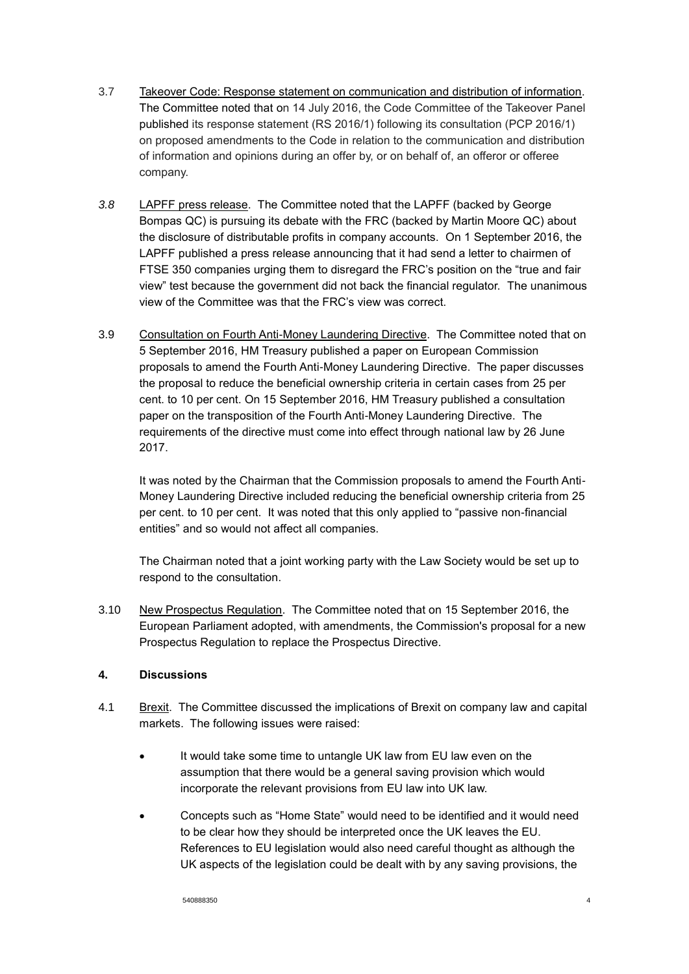- 3.7 Takeover Code: Response statement on communication and distribution of information. The Committee noted that on 14 July 2016, the Code Committee of the Takeover Panel published its response statement (RS 2016/1) following its consultation (PCP 2016/1) on proposed amendments to the Code in relation to the communication and distribution of information and opinions during an offer by, or on behalf of, an offeror or offeree company.
- *3.8* LAPFF press release. The Committee noted that the LAPFF (backed by George Bompas QC) is pursuing its debate with the FRC (backed by Martin Moore QC) about the disclosure of distributable profits in company accounts. On 1 September 2016, the LAPFF published a press release announcing that it had send a letter to chairmen of FTSE 350 companies urging them to disregard the FRC's position on the "true and fair view" test because the government did not back the financial regulator. The unanimous view of the Committee was that the FRC's view was correct.
- 3.9 Consultation on Fourth Anti-Money Laundering Directive. The Committee noted that on 5 September 2016, HM Treasury published a paper on European Commission proposals to amend the Fourth Anti-Money Laundering Directive. The paper discusses the proposal to reduce the beneficial ownership criteria in certain cases from 25 per cent. to 10 per cent. On 15 September 2016, HM Treasury published a consultation paper on the transposition of the Fourth Anti-Money Laundering Directive. The requirements of the directive must come into effect through national law by 26 June 2017.

It was noted by the Chairman that the Commission proposals to amend the Fourth Anti-Money Laundering Directive included reducing the beneficial ownership criteria from 25 per cent. to 10 per cent. It was noted that this only applied to "passive non-financial entities" and so would not affect all companies.

The Chairman noted that a joint working party with the Law Society would be set up to respond to the consultation.

3.10 New Prospectus Regulation. The Committee noted that on 15 September 2016, the European Parliament adopted, with amendments, the Commission's proposal for a new Prospectus Regulation to replace the Prospectus Directive.

# **4. Discussions**

- 4.1 Brexit. The Committee discussed the implications of Brexit on company law and capital markets. The following issues were raised:
	- It would take some time to untangle UK law from EU law even on the assumption that there would be a general saving provision which would incorporate the relevant provisions from EU law into UK law.
	- Concepts such as "Home State" would need to be identified and it would need to be clear how they should be interpreted once the UK leaves the EU. References to EU legislation would also need careful thought as although the UK aspects of the legislation could be dealt with by any saving provisions, the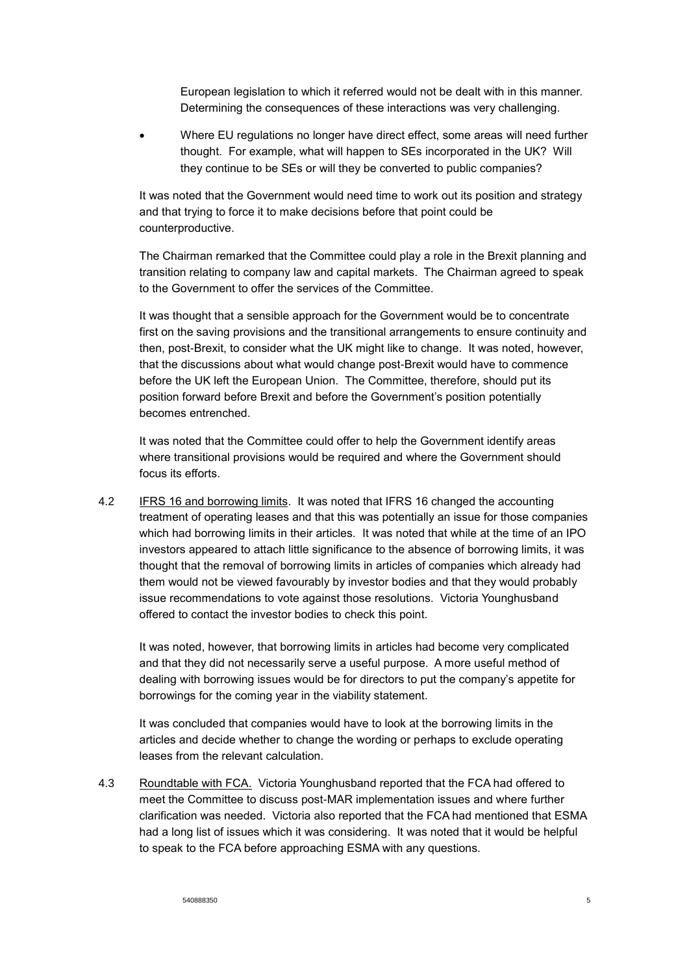European legislation to which it referred would not be dealt with in this manner. Determining the consequences of these interactions was very challenging.

 Where EU regulations no longer have direct effect, some areas will need further thought. For example, what will happen to SEs incorporated in the UK? Will they continue to be SEs or will they be converted to public companies?

It was noted that the Government would need time to work out its position and strategy and that trying to force it to make decisions before that point could be counterproductive.

The Chairman remarked that the Committee could play a role in the Brexit planning and transition relating to company law and capital markets. The Chairman agreed to speak to the Government to offer the services of the Committee.

It was thought that a sensible approach for the Government would be to concentrate first on the saving provisions and the transitional arrangements to ensure continuity and then, post-Brexit, to consider what the UK might like to change. It was noted, however, that the discussions about what would change post-Brexit would have to commence before the UK left the European Union. The Committee, therefore, should put its position forward before Brexit and before the Government's position potentially becomes entrenched.

It was noted that the Committee could offer to help the Government identify areas where transitional provisions would be required and where the Government should focus its efforts.

4.2 IFRS 16 and borrowing limits. It was noted that IFRS 16 changed the accounting treatment of operating leases and that this was potentially an issue for those companies which had borrowing limits in their articles. It was noted that while at the time of an IPO investors appeared to attach little significance to the absence of borrowing limits, it was thought that the removal of borrowing limits in articles of companies which already had them would not be viewed favourably by investor bodies and that they would probably issue recommendations to vote against those resolutions. Victoria Younghusband offered to contact the investor bodies to check this point.

It was noted, however, that borrowing limits in articles had become very complicated and that they did not necessarily serve a useful purpose. A more useful method of dealing with borrowing issues would be for directors to put the company's appetite for borrowings for the coming year in the viability statement.

It was concluded that companies would have to look at the borrowing limits in the articles and decide whether to change the wording or perhaps to exclude operating leases from the relevant calculation.

4.3 Roundtable with FCA. Victoria Younghusband reported that the FCA had offered to meet the Committee to discuss post-MAR implementation issues and where further clarification was needed. Victoria also reported that the FCA had mentioned that ESMA had a long list of issues which it was considering. It was noted that it would be helpful to speak to the FCA before approaching ESMA with any questions.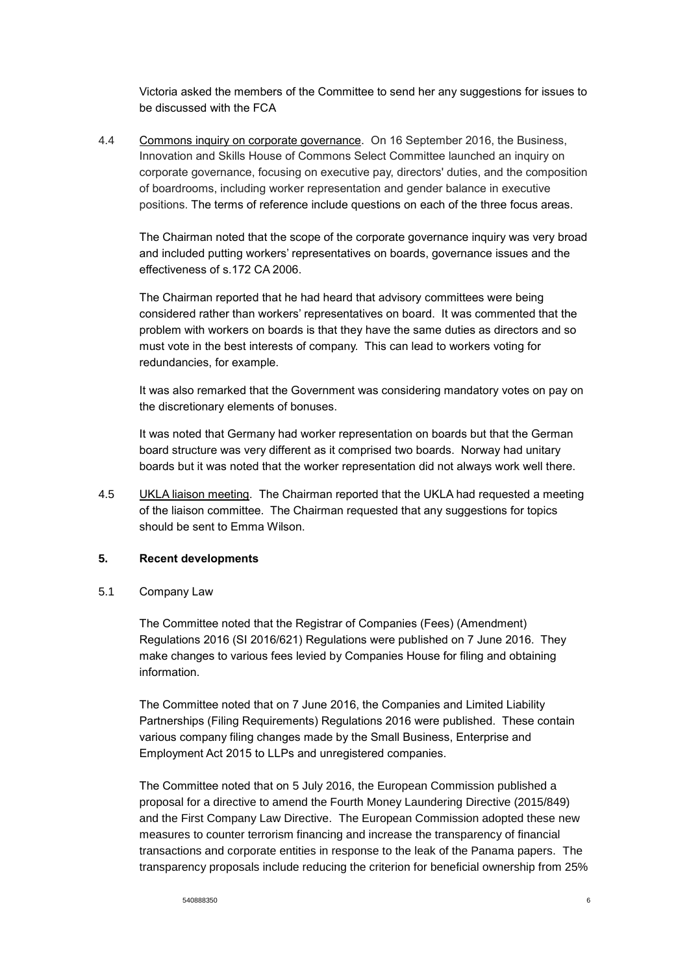Victoria asked the members of the Committee to send her any suggestions for issues to be discussed with the FCA

4.4 Commons inquiry on corporate governance. On 16 September 2016, the Business, Innovation and Skills House of Commons Select Committee launched an inquiry on corporate governance, focusing on executive pay, directors' duties, and the composition of boardrooms, including worker representation and gender balance in executive positions. The terms of reference include questions on each of the three focus areas.

The Chairman noted that the scope of the corporate governance inquiry was very broad and included putting workers' representatives on boards, governance issues and the effectiveness of s.172 CA 2006.

The Chairman reported that he had heard that advisory committees were being considered rather than workers' representatives on board. It was commented that the problem with workers on boards is that they have the same duties as directors and so must vote in the best interests of company. This can lead to workers voting for redundancies, for example.

It was also remarked that the Government was considering mandatory votes on pay on the discretionary elements of bonuses.

It was noted that Germany had worker representation on boards but that the German board structure was very different as it comprised two boards. Norway had unitary boards but it was noted that the worker representation did not always work well there.

4.5 UKLA liaison meeting. The Chairman reported that the UKLA had requested a meeting of the liaison committee. The Chairman requested that any suggestions for topics should be sent to Emma Wilson.

# **5. Recent developments**

5.1 Company Law

The Committee noted that the Registrar of Companies (Fees) (Amendment) Regulations 2016 (SI 2016/621) Regulations were published on 7 June 2016. They make changes to various fees levied by Companies House for filing and obtaining information.

The Committee noted that on 7 June 2016, the Companies and Limited Liability Partnerships (Filing Requirements) Regulations 2016 were published. These contain various company filing changes made by the Small Business, Enterprise and Employment Act 2015 to LLPs and unregistered companies.

The Committee noted that on 5 July 2016, the European Commission published a proposal for a directive to amend the Fourth Money Laundering Directive (2015/849) and the First Company Law Directive. The European Commission adopted these new measures to counter terrorism financing and increase the transparency of financial transactions and corporate entities in response to the leak of the Panama papers. The transparency proposals include reducing the criterion for beneficial ownership from 25%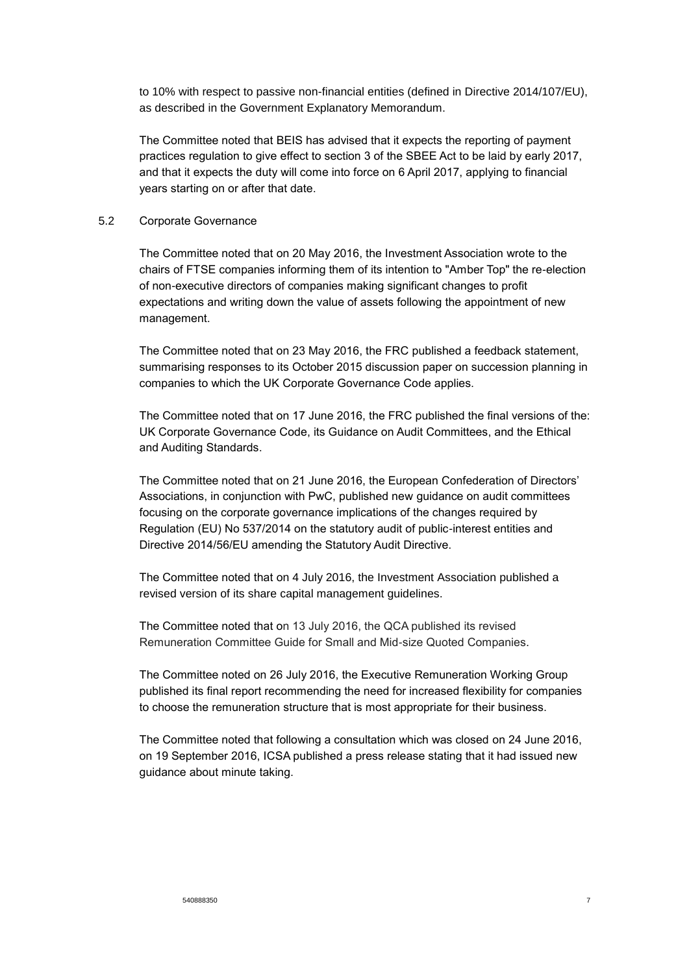to 10% with respect to passive non-financial entities (defined in Directive 2014/107/EU), as described in the Government Explanatory Memorandum.

The Committee noted that BEIS has advised that it expects the reporting of payment practices regulation to give effect to section 3 of the SBEE Act to be laid by early 2017, and that it expects the duty will come into force on 6 April 2017, applying to financial years starting on or after that date.

# 5.2 Corporate Governance

The Committee noted that on 20 May 2016, the Investment Association wrote to the chairs of FTSE companies informing them of its intention to "Amber Top" the re-election of non-executive directors of companies making significant changes to profit expectations and writing down the value of assets following the appointment of new management.

The Committee noted that on 23 May 2016, the FRC published a feedback statement, summarising responses to its October 2015 discussion paper on succession planning in companies to which the UK Corporate Governance Code applies.

The Committee noted that on 17 June 2016, the FRC published the final versions of the: UK Corporate Governance Code, its Guidance on Audit Committees, and the Ethical and Auditing Standards.

The Committee noted that on 21 June 2016, the European Confederation of Directors' Associations, in conjunction with PwC, published new guidance on audit committees focusing on the corporate governance implications of the changes required by Regulation (EU) No 537/2014 on the statutory audit of public-interest entities and Directive 2014/56/EU amending the Statutory Audit Directive.

The Committee noted that on 4 July 2016, the Investment Association published a revised version of its share capital management guidelines.

The Committee noted that on 13 July 2016, the QCA published its revised Remuneration Committee Guide for Small and Mid-size Quoted Companies.

The Committee noted on 26 July 2016, the Executive Remuneration Working Group published its final report recommending the need for increased flexibility for companies to choose the remuneration structure that is most appropriate for their business.

The Committee noted that following a consultation which was closed on 24 June 2016, on 19 September 2016, ICSA published a press release stating that it had issued new guidance about minute taking.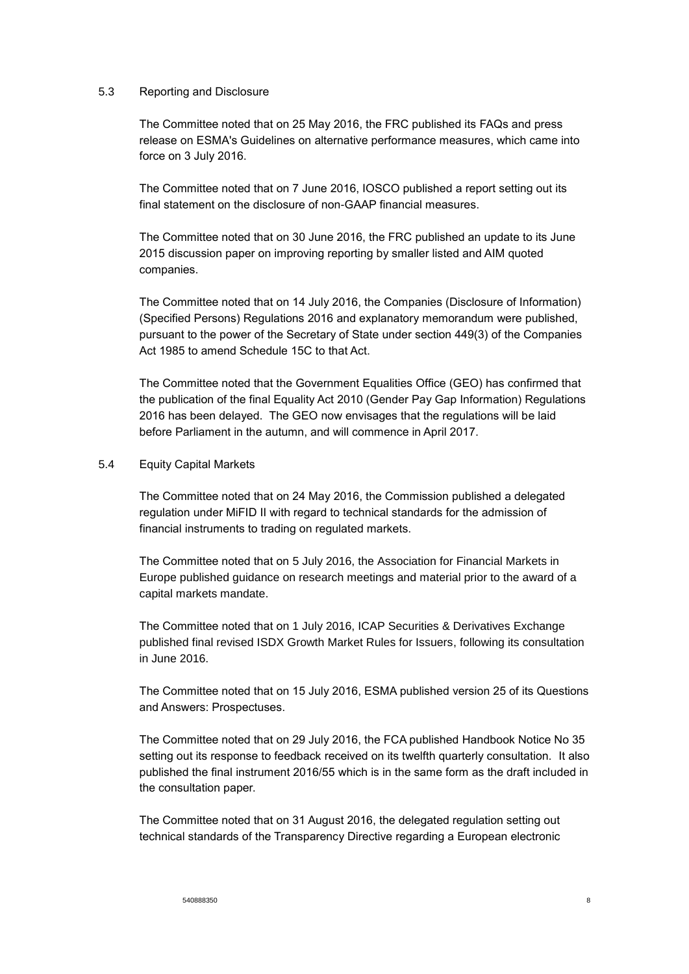#### 5.3 Reporting and Disclosure

The Committee noted that on 25 May 2016, the FRC published its FAQs and press release on ESMA's Guidelines on alternative performance measures, which came into force on 3 July 2016.

The Committee noted that on 7 June 2016, IOSCO published a report setting out its final statement on the disclosure of non-GAAP financial measures.

The Committee noted that on 30 June 2016, the FRC published an update to its June 2015 discussion paper on improving reporting by smaller listed and AIM quoted companies.

The Committee noted that on 14 July 2016, the Companies (Disclosure of Information) (Specified Persons) Regulations 2016 and explanatory memorandum were published, pursuant to the power of the Secretary of State under section 449(3) of the Companies Act 1985 to amend Schedule 15C to that Act.

The Committee noted that the Government Equalities Office (GEO) has confirmed that the publication of the final Equality Act 2010 (Gender Pay Gap Information) Regulations 2016 has been delayed. The GEO now envisages that the regulations will be laid before Parliament in the autumn, and will commence in April 2017.

#### 5.4 Equity Capital Markets

The Committee noted that on 24 May 2016, the Commission published a delegated regulation under MiFID II with regard to technical standards for the admission of financial instruments to trading on regulated markets.

The Committee noted that on 5 July 2016, the Association for Financial Markets in Europe published guidance on research meetings and material prior to the award of a capital markets mandate.

The Committee noted that on 1 July 2016, ICAP Securities & Derivatives Exchange published final revised ISDX Growth Market Rules for Issuers, following its consultation in June 2016.

The Committee noted that on 15 July 2016, ESMA published version 25 of its Questions and Answers: Prospectuses.

The Committee noted that on 29 July 2016, the FCA published Handbook Notice No 35 setting out its response to feedback received on its twelfth quarterly consultation. It also published the final instrument 2016/55 which is in the same form as the draft included in the consultation paper.

The Committee noted that on 31 August 2016, the delegated regulation setting out technical standards of the Transparency Directive regarding a European electronic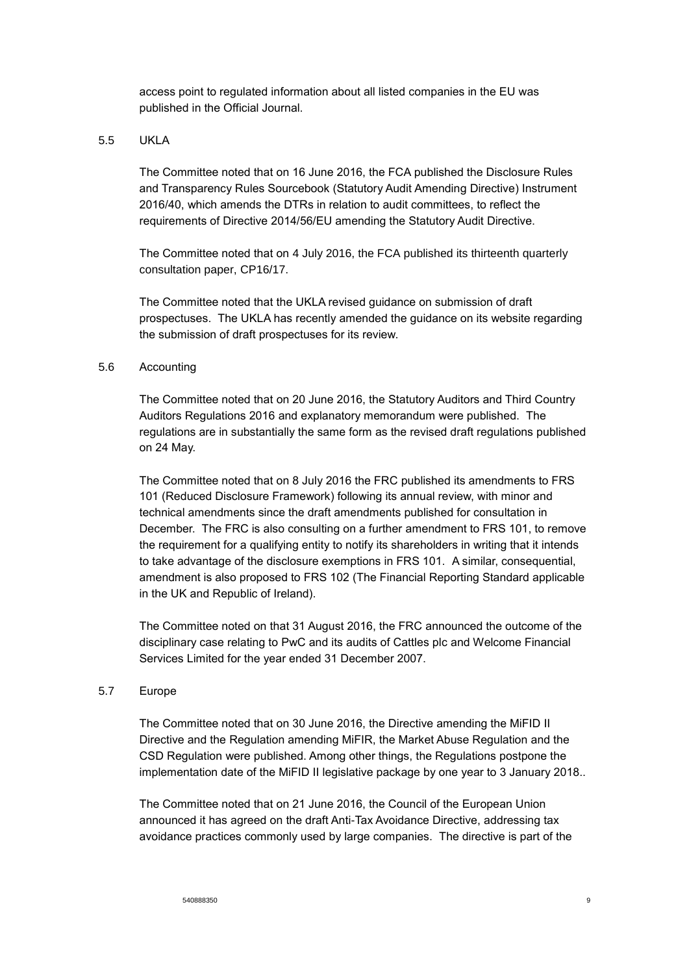access point to regulated information about all listed companies in the EU was published in the Official Journal.

# 5.5 UKLA

The Committee noted that on 16 June 2016, the FCA published the Disclosure Rules and Transparency Rules Sourcebook (Statutory Audit Amending Directive) Instrument 2016/40, which amends the DTRs in relation to audit committees, to reflect the requirements of Directive 2014/56/EU amending the Statutory Audit Directive.

The Committee noted that on 4 July 2016, the FCA published its thirteenth quarterly consultation paper, CP16/17.

The Committee noted that the UKLA revised guidance on submission of draft prospectuses. The UKLA has recently amended the guidance on its website regarding the submission of draft prospectuses for its review.

# 5.6 Accounting

The Committee noted that on 20 June 2016, the Statutory Auditors and Third Country Auditors Regulations 2016 and explanatory memorandum were published. The regulations are in substantially the same form as the revised draft regulations published on 24 May.

The Committee noted that on 8 July 2016 the FRC published its amendments to FRS 101 (Reduced Disclosure Framework) following its annual review, with minor and technical amendments since the draft amendments published for consultation in December. The FRC is also consulting on a further amendment to FRS 101, to remove the requirement for a qualifying entity to notify its shareholders in writing that it intends to take advantage of the disclosure exemptions in FRS 101. A similar, consequential, amendment is also proposed to FRS 102 (The Financial Reporting Standard applicable in the UK and Republic of Ireland).

The Committee noted on that 31 August 2016, the FRC announced the outcome of the disciplinary case relating to PwC and its audits of Cattles plc and Welcome Financial Services Limited for the year ended 31 December 2007.

# 5.7 Europe

The Committee noted that on 30 June 2016, the Directive amending the MiFID II Directive and the Regulation amending MiFIR, the Market Abuse Regulation and the CSD Regulation were published. Among other things, the Regulations postpone the implementation date of the MiFID II legislative package by one year to 3 January 2018..

The Committee noted that on 21 June 2016, the Council of the European Union announced it has agreed on the draft Anti-Tax Avoidance Directive, addressing tax avoidance practices commonly used by large companies. The directive is part of the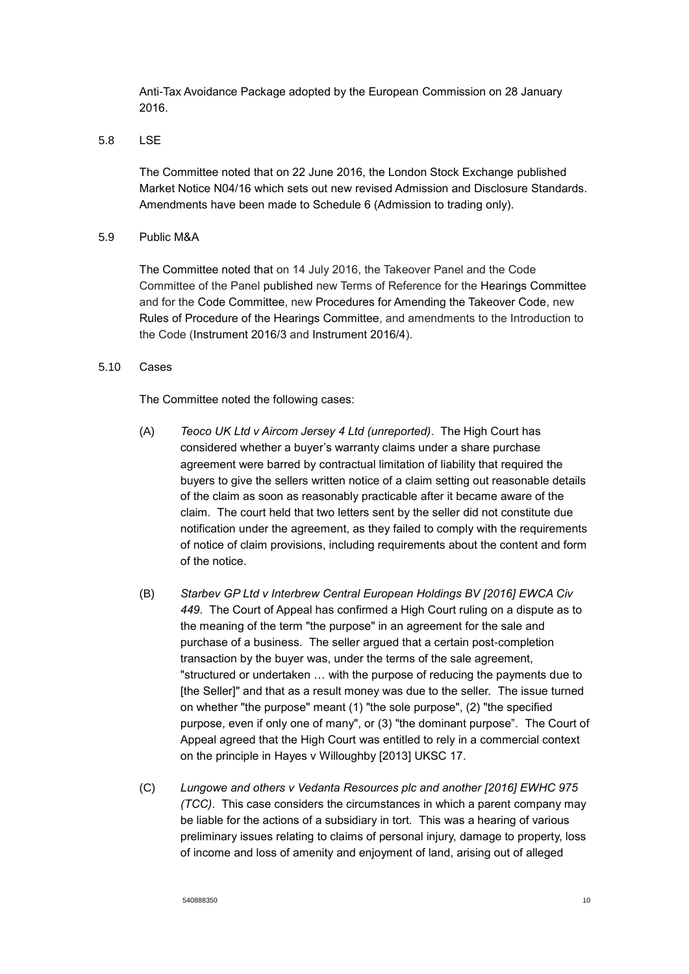Anti-Tax Avoidance Package adopted by the European Commission on 28 January 2016.

5.8 LSE

The Committee noted that on 22 June 2016, the London Stock Exchange published Market Notice N04/16 which sets out new revised Admission and Disclosure Standards. Amendments have been made to Schedule 6 (Admission to trading only).

5.9 Public M&A

The Committee noted that on 14 July 2016, the Takeover Panel and the Code Committee of the Panel published new Terms of Reference for the Hearings Committee and for the Code Committee, new Procedures for Amending the Takeover Code, new Rules of Procedure of the Hearings Committee, and amendments to the Introduction to the Code (Instrument 2016/3 and Instrument 2016/4).

## 5.10 Cases

The Committee noted the following cases:

- (A) *Teoco UK Ltd v Aircom Jersey 4 Ltd (unreported)*. The High Court has considered whether a buyer's warranty claims under a share purchase agreement were barred by contractual limitation of liability that required the buyers to give the sellers written notice of a claim setting out reasonable details of the claim as soon as reasonably practicable after it became aware of the claim. The court held that two letters sent by the seller did not constitute due notification under the agreement, as they failed to comply with the requirements of notice of claim provisions, including requirements about the content and form of the notice.
- (B) *Starbev GP Ltd v Interbrew Central European Holdings BV [2016] EWCA Civ 449*. The Court of Appeal has confirmed a High Court ruling on a dispute as to the meaning of the term "the purpose" in an agreement for the sale and purchase of a business. The seller argued that a certain post-completion transaction by the buyer was, under the terms of the sale agreement, "structured or undertaken … with the purpose of reducing the payments due to [the Seller]" and that as a result money was due to the seller. The issue turned on whether "the purpose" meant (1) "the sole purpose", (2) "the specified purpose, even if only one of many", or (3) "the dominant purpose". The Court of Appeal agreed that the High Court was entitled to rely in a commercial context on the principle in Hayes v Willoughby [2013] UKSC 17.
- (C) *Lungowe and others v Vedanta Resources plc and another [2016] EWHC 975 (TCC)*. This case considers the circumstances in which a parent company may be liable for the actions of a subsidiary in tort. This was a hearing of various preliminary issues relating to claims of personal injury, damage to property, loss of income and loss of amenity and enjoyment of land, arising out of alleged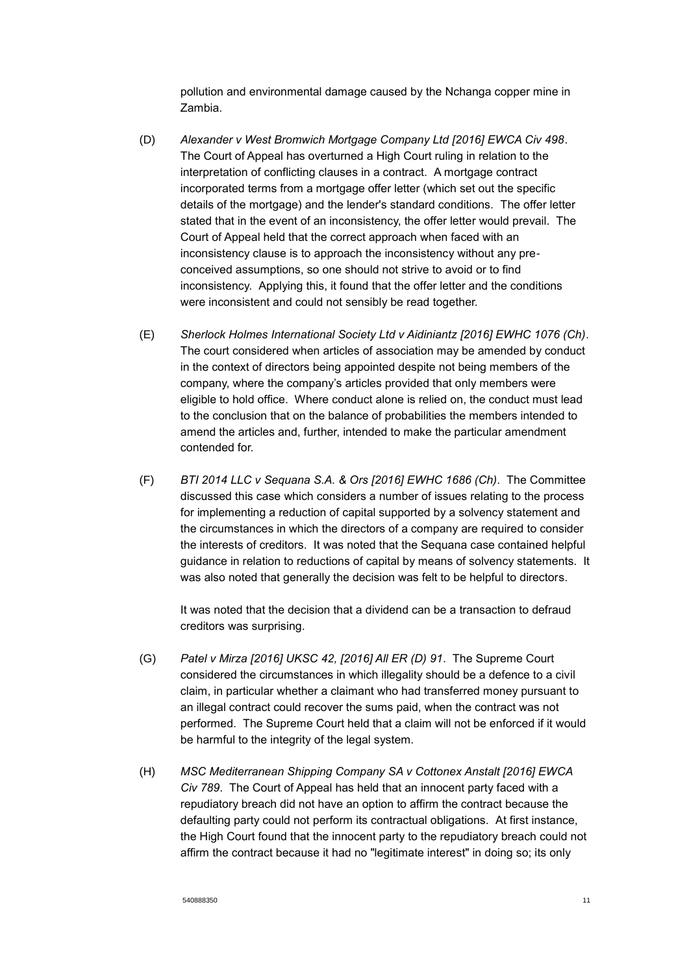pollution and environmental damage caused by the Nchanga copper mine in Zambia.

- (D) *Alexander v West Bromwich Mortgage Company Ltd [2016] EWCA Civ 498*. The Court of Appeal has overturned a High Court ruling in relation to the interpretation of conflicting clauses in a contract. A mortgage contract incorporated terms from a mortgage offer letter (which set out the specific details of the mortgage) and the lender's standard conditions. The offer letter stated that in the event of an inconsistency, the offer letter would prevail. The Court of Appeal held that the correct approach when faced with an inconsistency clause is to approach the inconsistency without any preconceived assumptions, so one should not strive to avoid or to find inconsistency. Applying this, it found that the offer letter and the conditions were inconsistent and could not sensibly be read together.
- (E) *Sherlock Holmes International Society Ltd v Aidiniantz [2016] EWHC 1076 (Ch)*. The court considered when articles of association may be amended by conduct in the context of directors being appointed despite not being members of the company, where the company's articles provided that only members were eligible to hold office. Where conduct alone is relied on, the conduct must lead to the conclusion that on the balance of probabilities the members intended to amend the articles and, further, intended to make the particular amendment contended for.
- (F) *BTI 2014 LLC v Sequana S.A. & Ors [2016] EWHC 1686 (Ch)*. The Committee discussed this case which considers a number of issues relating to the process for implementing a reduction of capital supported by a solvency statement and the circumstances in which the directors of a company are required to consider the interests of creditors. It was noted that the Sequana case contained helpful guidance in relation to reductions of capital by means of solvency statements. It was also noted that generally the decision was felt to be helpful to directors.

It was noted that the decision that a dividend can be a transaction to defraud creditors was surprising.

- (G) *Patel v Mirza [2016] UKSC 42, [2016] All ER (D) 91*. The Supreme Court considered the circumstances in which illegality should be a defence to a civil claim, in particular whether a claimant who had transferred money pursuant to an illegal contract could recover the sums paid, when the contract was not performed. The Supreme Court held that a claim will not be enforced if it would be harmful to the integrity of the legal system.
- (H) *MSC Mediterranean Shipping Company SA v Cottonex Anstalt [2016] EWCA Civ 789*. The Court of Appeal has held that an innocent party faced with a repudiatory breach did not have an option to affirm the contract because the defaulting party could not perform its contractual obligations. At first instance, the High Court found that the innocent party to the repudiatory breach could not affirm the contract because it had no "legitimate interest" in doing so; its only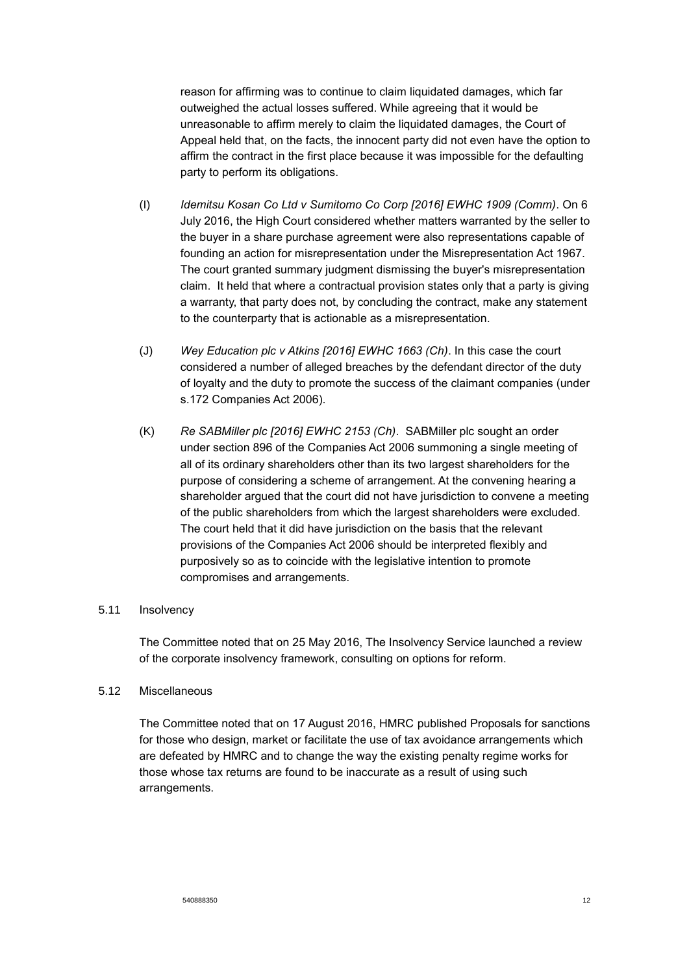reason for affirming was to continue to claim liquidated damages, which far outweighed the actual losses suffered. While agreeing that it would be unreasonable to affirm merely to claim the liquidated damages, the Court of Appeal held that, on the facts, the innocent party did not even have the option to affirm the contract in the first place because it was impossible for the defaulting party to perform its obligations.

- (I) *Idemitsu Kosan Co Ltd v Sumitomo Co Corp [2016] EWHC 1909 (Comm)*. On 6 July 2016, the High Court considered whether matters warranted by the seller to the buyer in a share purchase agreement were also representations capable of founding an action for misrepresentation under the Misrepresentation Act 1967. The court granted summary judgment dismissing the buyer's misrepresentation claim. It held that where a contractual provision states only that a party is giving a warranty, that party does not, by concluding the contract, make any statement to the counterparty that is actionable as a misrepresentation.
- (J) *Wey Education plc v Atkins [2016] EWHC 1663 (Ch)*. In this case the court considered a number of alleged breaches by the defendant director of the duty of loyalty and the duty to promote the success of the claimant companies (under s.172 Companies Act 2006).
- (K) *Re SABMiller plc [2016] EWHC 2153 (Ch)*. SABMiller plc sought an order under section 896 of the Companies Act 2006 summoning a single meeting of all of its ordinary shareholders other than its two largest shareholders for the purpose of considering a scheme of arrangement. At the convening hearing a shareholder argued that the court did not have jurisdiction to convene a meeting of the public shareholders from which the largest shareholders were excluded. The court held that it did have jurisdiction on the basis that the relevant provisions of the Companies Act 2006 should be interpreted flexibly and purposively so as to coincide with the legislative intention to promote compromises and arrangements.

# 5.11 Insolvency

The Committee noted that on 25 May 2016, The Insolvency Service launched a review of the corporate insolvency framework, consulting on options for reform.

#### 5.12 Miscellaneous

The Committee noted that on 17 August 2016, HMRC published Proposals for sanctions for those who design, market or facilitate the use of tax avoidance arrangements which are defeated by HMRC and to change the way the existing penalty regime works for those whose tax returns are found to be inaccurate as a result of using such arrangements.